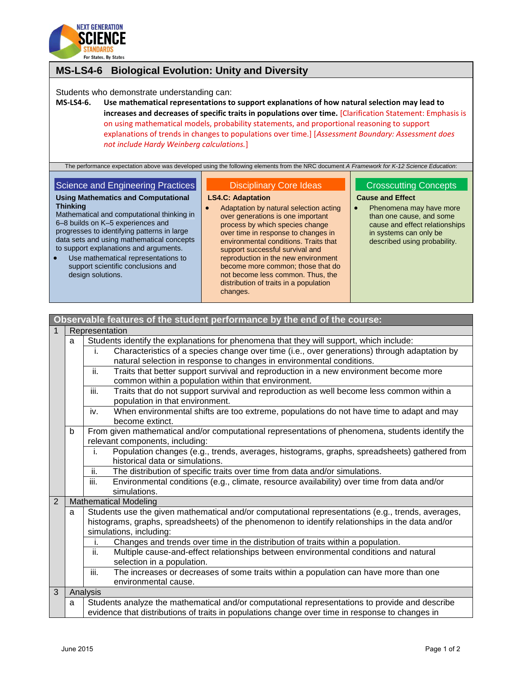

# **MS-LS4-6 Biological Evolution: Unity and Diversity**

Students who demonstrate understanding can:

**MS-LS4-6. Use mathematical representations to support explanations of how natural selection may lead to increases and decreases of specific traits in populations over time.** [Clarification Statement: Emphasis is on using mathematical models, probability statements, and proportional reasoning to support explanations of trends in changes to populations over time.] [*Assessment Boundary: Assessment does not include Hardy Weinberg calculations.*]

The performance expectation above was developed using the following elements from the NRC document *A Framework for K-12 Science Education*:

## Science and Engineering Practices **Using Mathematics and Computational**

### Disciplinary Core Ideas

#### **LS4.C: Adaptation**

- **Thinking** Mathematical and computational thinking in 6–8 builds on K–5 experiences and progresses to identifying patterns in large data sets and using mathematical concepts to support explanations and arguments.
- Use mathematical representations to support scientific conclusions and design solutions.
- Adaptation by natural selection acting over generations is one important process by which species change over time in response to changes in environmental conditions. Traits that support successful survival and reproduction in the new environment become more common; those that do not become less common. Thus, the distribution of traits in a population changes.

## Crosscutting Concepts **Cause and Effect**

• Phenomena may have more than one cause, and some cause and effect relationships in systems can only be described using probability.

| Observable features of the student performance by the end of the course: |                |                                                                                                                                      |  |
|--------------------------------------------------------------------------|----------------|--------------------------------------------------------------------------------------------------------------------------------------|--|
|                                                                          | Representation |                                                                                                                                      |  |
|                                                                          | a              | Students identify the explanations for phenomena that they will support, which include:                                              |  |
|                                                                          |                | Characteristics of a species change over time (i.e., over generations) through adaptation by<br>j.                                   |  |
|                                                                          |                | natural selection in response to changes in environmental conditions.                                                                |  |
|                                                                          |                | ii.<br>Traits that better support survival and reproduction in a new environment become more                                         |  |
|                                                                          |                | common within a population within that environment.                                                                                  |  |
|                                                                          |                | Traits that do not support survival and reproduction as well become less common within a<br>iii.<br>population in that environment.  |  |
|                                                                          |                | When environmental shifts are too extreme, populations do not have time to adapt and may<br>iv.<br>become extinct.                   |  |
|                                                                          | b              | From given mathematical and/or computational representations of phenomena, students identify the<br>relevant components, including:  |  |
|                                                                          |                | Population changes (e.g., trends, averages, histograms, graphs, spreadsheets) gathered from<br>i.<br>historical data or simulations. |  |
|                                                                          |                | The distribution of specific traits over time from data and/or simulations.<br>ii.                                                   |  |
|                                                                          |                | iii.<br>Environmental conditions (e.g., climate, resource availability) over time from data and/or                                   |  |
|                                                                          |                | simulations.                                                                                                                         |  |
| $\overline{2}$                                                           |                | <b>Mathematical Modeling</b>                                                                                                         |  |
|                                                                          | a              | Students use the given mathematical and/or computational representations (e.g., trends, averages,                                    |  |
|                                                                          |                | histograms, graphs, spreadsheets) of the phenomenon to identify relationships in the data and/or<br>simulations, including:          |  |
|                                                                          |                | Changes and trends over time in the distribution of traits within a population.<br>i.                                                |  |
|                                                                          |                | ii.<br>Multiple cause-and-effect relationships between environmental conditions and natural                                          |  |
|                                                                          |                | selection in a population.                                                                                                           |  |
|                                                                          |                | iii.<br>The increases or decreases of some traits within a population can have more than one                                         |  |
|                                                                          |                | environmental cause.                                                                                                                 |  |
| 3                                                                        |                | Analysis                                                                                                                             |  |
|                                                                          | a              | Students analyze the mathematical and/or computational representations to provide and describe                                       |  |
|                                                                          |                | evidence that distributions of traits in populations change over time in response to changes in                                      |  |